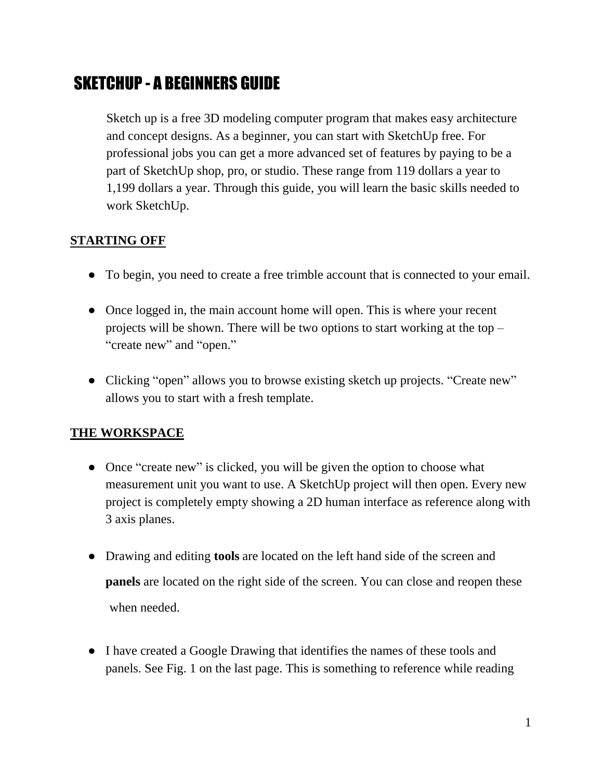# SKETCHUP - A BEGINNERS GUIDE

Sketch up is a free 3D modeling computer program that makes easy architecture and concept designs. As a beginner, you can start with SketchUp free. For professional jobs you can get a more advanced set of features by paying to be a part of SketchUp shop, pro, or studio. These range from 119 dollars a year to 1,199 dollars a year. Through this guide, you will learn the basic skills needed to work SketchUp.

# **STARTING OFF**

- To begin, you need to create a free trimble account that is connected to your email.
- Once logged in, the main account home will open. This is where your recent projects will be shown. There will be two options to start working at the top – "create new" and "open."
- Clicking "open" allows you to browse existing sketch up projects. "Create new" allows you to start with a fresh template.

# **THE WORKSPACE**

- Once "create new" is clicked, you will be given the option to choose what measurement unit you want to use. A SketchUp project will then open. Every new project is completely empty showing a 2D human interface as reference along with 3 axis planes.
- Drawing and editing **tools** are located on the left hand side of the screen and **panels** are located on the right side of the screen. You can close and reopen these when needed.
- I have created a Google Drawing that identifies the names of these tools and panels. See Fig. 1 on the last page. This is something to reference while reading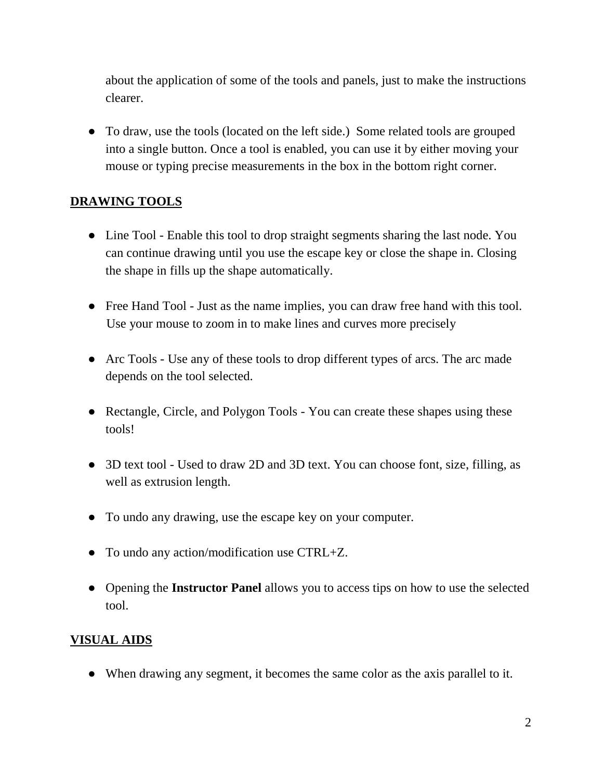about the application of some of the tools and panels, just to make the instructions clearer.

• To draw, use the tools (located on the left side.) Some related tools are grouped into a single button. Once a tool is enabled, you can use it by either moving your mouse or typing precise measurements in the box in the bottom right corner.

#### **DRAWING TOOLS**

- Line Tool Enable this tool to drop straight segments sharing the last node. You can continue drawing until you use the escape key or close the shape in. Closing the shape in fills up the shape automatically.
- Free Hand Tool Just as the name implies, you can draw free hand with this tool. Use your mouse to zoom in to make lines and curves more precisely
- Arc Tools Use any of these tools to drop different types of arcs. The arc made depends on the tool selected.
- Rectangle, Circle, and Polygon Tools You can create these shapes using these tools!
- 3D text tool Used to draw 2D and 3D text. You can choose font, size, filling, as well as extrusion length.
- To undo any drawing, use the escape key on your computer.
- To undo any action/modification use CTRL+Z.
- Opening the **Instructor Panel** allows you to access tips on how to use the selected tool.

#### **VISUAL AIDS**

● When drawing any segment, it becomes the same color as the axis parallel to it.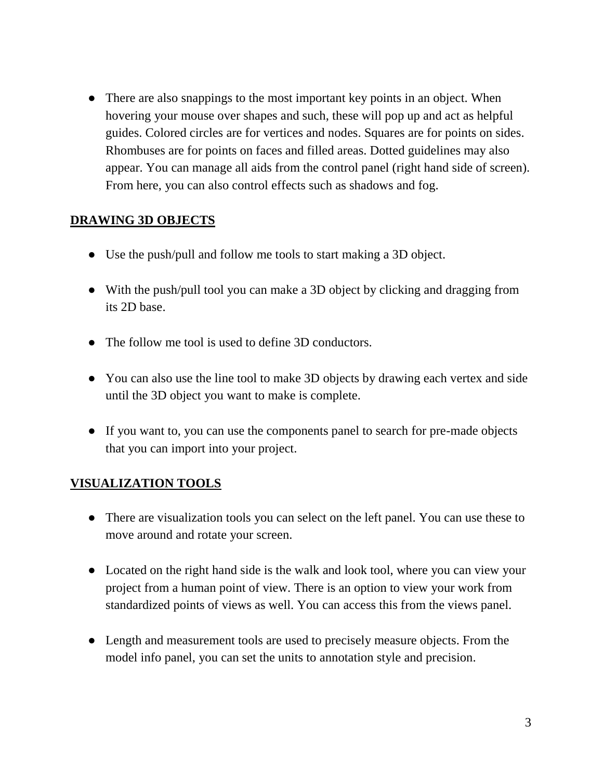• There are also snappings to the most important key points in an object. When hovering your mouse over shapes and such, these will pop up and act as helpful guides. Colored circles are for vertices and nodes. Squares are for points on sides. Rhombuses are for points on faces and filled areas. Dotted guidelines may also appear. You can manage all aids from the control panel (right hand side of screen). From here, you can also control effects such as shadows and fog.

## **DRAWING 3D OBJECTS**

- Use the push/pull and follow me tools to start making a 3D object.
- With the push/pull tool you can make a 3D object by clicking and dragging from its 2D base.
- The follow me tool is used to define 3D conductors.
- You can also use the line tool to make 3D objects by drawing each vertex and side until the 3D object you want to make is complete.
- If you want to, you can use the components panel to search for pre-made objects that you can import into your project.

## **VISUALIZATION TOOLS**

- There are visualization tools you can select on the left panel. You can use these to move around and rotate your screen.
- Located on the right hand side is the walk and look tool, where you can view your project from a human point of view. There is an option to view your work from standardized points of views as well. You can access this from the views panel.
- Length and measurement tools are used to precisely measure objects. From the model info panel, you can set the units to annotation style and precision.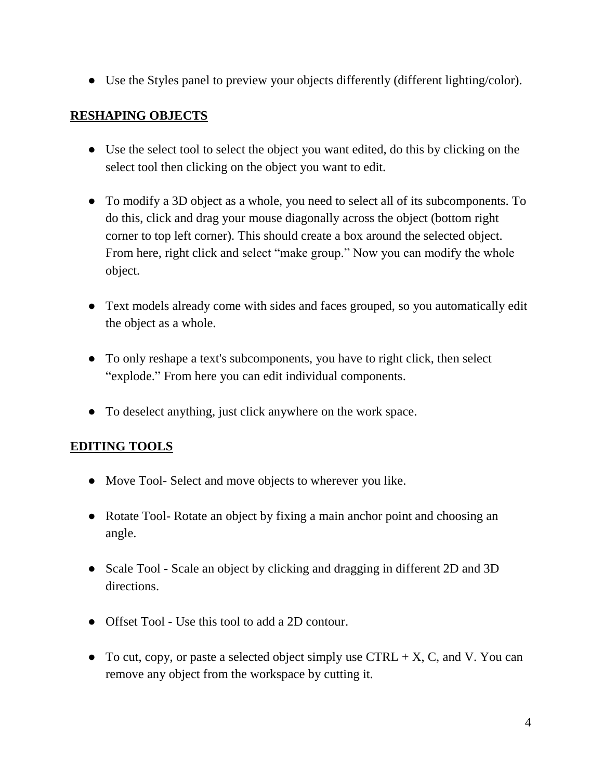● Use the Styles panel to preview your objects differently (different lighting/color).

#### **RESHAPING OBJECTS**

- Use the select tool to select the object you want edited, do this by clicking on the select tool then clicking on the object you want to edit.
- To modify a 3D object as a whole, you need to select all of its subcomponents. To do this, click and drag your mouse diagonally across the object (bottom right corner to top left corner). This should create a box around the selected object. From here, right click and select "make group." Now you can modify the whole object.
- Text models already come with sides and faces grouped, so you automatically edit the object as a whole.
- To only reshape a text's subcomponents, you have to right click, then select "explode." From here you can edit individual components.
- To deselect anything, just click anywhere on the work space.

#### **EDITING TOOLS**

- Move Tool- Select and move objects to wherever you like.
- Rotate Tool-Rotate an object by fixing a main anchor point and choosing an angle.
- Scale Tool Scale an object by clicking and dragging in different 2D and 3D directions.
- Offset Tool Use this tool to add a 2D contour.
- To cut, copy, or paste a selected object simply use CTRL  $+ X$ , C, and V. You can remove any object from the workspace by cutting it.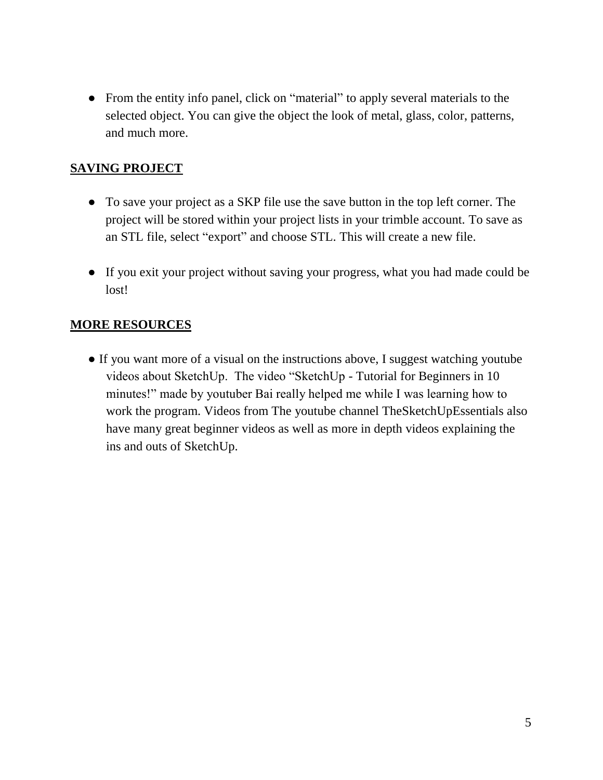• From the entity info panel, click on "material" to apply several materials to the selected object. You can give the object the look of metal, glass, color, patterns, and much more.

# **SAVING PROJECT**

- To save your project as a SKP file use the save button in the top left corner. The project will be stored within your project lists in your trimble account. To save as an STL file, select "export" and choose STL. This will create a new file.
- If you exit your project without saving your progress, what you had made could be lost!

## **MORE RESOURCES**

● If you want more of a visual on the instructions above, I suggest watching youtube videos about SketchUp. The video "SketchUp - Tutorial for Beginners in 10 minutes!" made by youtuber Bai really helped me while I was learning how to work the program. Videos from The youtube channel TheSketchUpEssentials also have many great beginner videos as well as more in depth videos explaining the ins and outs of SketchUp.